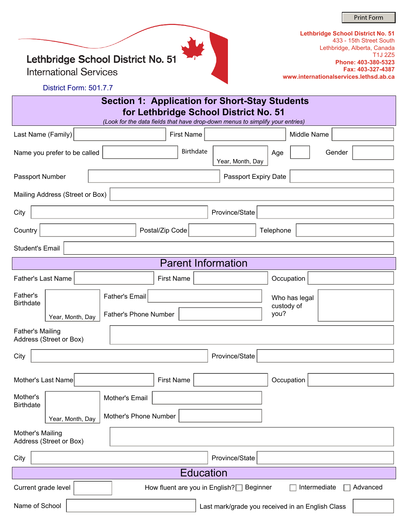Print Form

Lethbridge School District No. 51

**International Services** 

| Lethbridge School District No. 51      |
|----------------------------------------|
| 433 - 15th Street South                |
| Lethbridge, Alberta, Canada            |
| T <sub>1</sub> J 275                   |
| Phone: 403-380-5323                    |
| Fax: 403-327-4387                      |
| www.internationalservices.lethsd.ab.ca |

District Form: 501.7.7

| <b>Section 1: Application for Short-Stay Students</b><br>for Lethbridge School District No. 51                                                                                                                                                                                                                                                                                                                                                                                                                                                                                                                                                                       |                                                                               |                         |                                |  |  |  |  |  |  |
|----------------------------------------------------------------------------------------------------------------------------------------------------------------------------------------------------------------------------------------------------------------------------------------------------------------------------------------------------------------------------------------------------------------------------------------------------------------------------------------------------------------------------------------------------------------------------------------------------------------------------------------------------------------------|-------------------------------------------------------------------------------|-------------------------|--------------------------------|--|--|--|--|--|--|
|                                                                                                                                                                                                                                                                                                                                                                                                                                                                                                                                                                                                                                                                      | (Look for the data fields that have drop-down menus to simplify your entries) |                         |                                |  |  |  |  |  |  |
| Last Name (Family)                                                                                                                                                                                                                                                                                                                                                                                                                                                                                                                                                                                                                                                   | First Name                                                                    |                         | Middle Name                    |  |  |  |  |  |  |
| Name you prefer to be called                                                                                                                                                                                                                                                                                                                                                                                                                                                                                                                                                                                                                                         | Birthdate                                                                     | Age<br>Year, Month, Day | $\blacktriangledown$<br>Gender |  |  |  |  |  |  |
| Passport Number<br>Passport Expiry Date                                                                                                                                                                                                                                                                                                                                                                                                                                                                                                                                                                                                                              |                                                                               |                         |                                |  |  |  |  |  |  |
| Mailing Address (Street or Box)                                                                                                                                                                                                                                                                                                                                                                                                                                                                                                                                                                                                                                      |                                                                               |                         |                                |  |  |  |  |  |  |
| City<br>Province/State                                                                                                                                                                                                                                                                                                                                                                                                                                                                                                                                                                                                                                               |                                                                               |                         |                                |  |  |  |  |  |  |
| Country                                                                                                                                                                                                                                                                                                                                                                                                                                                                                                                                                                                                                                                              | Postal/Zip Code                                                               | Telephone               |                                |  |  |  |  |  |  |
| <b>Student's Email</b>                                                                                                                                                                                                                                                                                                                                                                                                                                                                                                                                                                                                                                               |                                                                               |                         |                                |  |  |  |  |  |  |
|                                                                                                                                                                                                                                                                                                                                                                                                                                                                                                                                                                                                                                                                      | <b>Parent Information</b>                                                     |                         |                                |  |  |  |  |  |  |
| <b>Father's Last Name</b>                                                                                                                                                                                                                                                                                                                                                                                                                                                                                                                                                                                                                                            | <b>First Name</b>                                                             |                         | Occupation                     |  |  |  |  |  |  |
| Father's<br><b>Birthdate</b>                                                                                                                                                                                                                                                                                                                                                                                                                                                                                                                                                                                                                                         | <b>Father's Email</b>                                                         |                         | Who has legal<br>custody of    |  |  |  |  |  |  |
| Year, Month, Day                                                                                                                                                                                                                                                                                                                                                                                                                                                                                                                                                                                                                                                     | <b>Father's Phone Number</b>                                                  | you?                    |                                |  |  |  |  |  |  |
| <b>Father's Mailing</b><br>Address (Street or Box)                                                                                                                                                                                                                                                                                                                                                                                                                                                                                                                                                                                                                   |                                                                               |                         |                                |  |  |  |  |  |  |
| City                                                                                                                                                                                                                                                                                                                                                                                                                                                                                                                                                                                                                                                                 |                                                                               | Province/State          |                                |  |  |  |  |  |  |
| Mother's Last Name                                                                                                                                                                                                                                                                                                                                                                                                                                                                                                                                                                                                                                                   | <b>First Name</b>                                                             |                         | Occupation                     |  |  |  |  |  |  |
| Mother's<br><b>Birthdate</b>                                                                                                                                                                                                                                                                                                                                                                                                                                                                                                                                                                                                                                         | Mother's Email                                                                |                         |                                |  |  |  |  |  |  |
| Year, Month, Day                                                                                                                                                                                                                                                                                                                                                                                                                                                                                                                                                                                                                                                     | Mother's Phone Number                                                         |                         |                                |  |  |  |  |  |  |
| Mother's Mailing<br>Address (Street or Box)                                                                                                                                                                                                                                                                                                                                                                                                                                                                                                                                                                                                                          |                                                                               |                         |                                |  |  |  |  |  |  |
| City                                                                                                                                                                                                                                                                                                                                                                                                                                                                                                                                                                                                                                                                 |                                                                               | Province/State          |                                |  |  |  |  |  |  |
| <b>Education</b>                                                                                                                                                                                                                                                                                                                                                                                                                                                                                                                                                                                                                                                     |                                                                               |                         |                                |  |  |  |  |  |  |
| Intermediate<br>Advanced<br>Current grade level<br>How fluent are you in English?<br>Beginner<br>$\left. \right. \right. \left. \left. \right. \right. \left. \left. \right. \left. \right. \left. \left. \right. \left. \right. \left. \right. \left. \left. \right. \left. \right. \left. \left. \right. \right. \left. \left. \right. \left. \left. \right. \right. \left. \left. \right. \right. \left. \left. \right. \left. \left. \right. \right. \left. \left. \right. \right. \left. \left. \right. \right. \left. \left. \right. \left. \left. \right. \right. \left. \left. \right. \right. \left. \left. \right. \right. \left. \left. \right. \left. \$ |                                                                               |                         |                                |  |  |  |  |  |  |
| Name of School<br>Last mark/grade you received in an English Class                                                                                                                                                                                                                                                                                                                                                                                                                                                                                                                                                                                                   |                                                                               |                         |                                |  |  |  |  |  |  |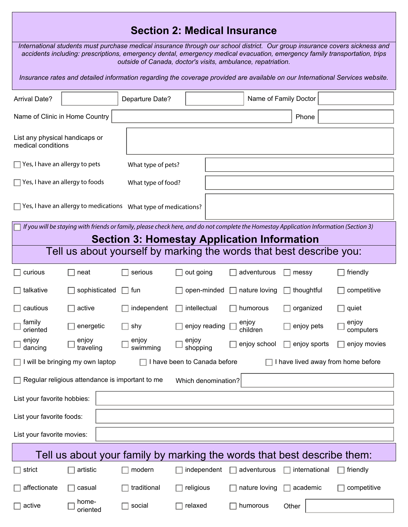## **Section 2: Medical Insurance**

*International students must purchase medical insurance through our school district. Our group insurance covers sickness and accidents including: prescriptions, emergency dental, emergency medical evacuation, emergency family transportation, trips outside of Canada, doctor's visits, ambulance, repatriation.* 

*Insurance rates and detailed information regarding the coverage provided are available on our International Services website.*

| <b>Arrival Date?</b>                                                                                                                                                                         |                                                                     | Departure Date?    |                     |  |  |                   | Name of Family Doctor |                    |
|----------------------------------------------------------------------------------------------------------------------------------------------------------------------------------------------|---------------------------------------------------------------------|--------------------|---------------------|--|--|-------------------|-----------------------|--------------------|
| Name of Clinic in Home Country<br>Phone                                                                                                                                                      |                                                                     |                    |                     |  |  |                   |                       |                    |
| List any physical handicaps or<br>medical conditions                                                                                                                                         |                                                                     |                    |                     |  |  |                   |                       |                    |
| Yes, I have an allergy to pets                                                                                                                                                               |                                                                     | What type of pets? |                     |  |  |                   |                       |                    |
| Yes, I have an allergy to foods                                                                                                                                                              |                                                                     | What type of food? |                     |  |  |                   |                       |                    |
|                                                                                                                                                                                              | Yes, I have an allergy to medications  What type of medications?    |                    |                     |  |  |                   |                       |                    |
| If you will be staying with friends or family, please check here, and do not complete the Homestay Application Information (Section 3)<br><b>Section 3: Homestay Application Information</b> |                                                                     |                    |                     |  |  |                   |                       |                    |
|                                                                                                                                                                                              | Tell us about yourself by marking the words that best describe you: |                    |                     |  |  |                   |                       |                    |
| curious                                                                                                                                                                                      | neat                                                                | serious            | out going           |  |  | adventurous       | messy                 | friendly           |
| talkative                                                                                                                                                                                    | sophisticated                                                       | fun                | open-minded         |  |  | nature loving     | thoughtful            | competitive        |
| cautious                                                                                                                                                                                     | active                                                              | independent        | intellectual        |  |  | humorous          | organized             | quiet              |
| family<br>oriented                                                                                                                                                                           | energetic                                                           | shy                | enjoy reading       |  |  | enjoy<br>children | enjoy pets            | enjoy<br>computers |
| enjoy<br>dancing                                                                                                                                                                             | enjoy<br>traveling                                                  | enjoy<br>swimming  | enjoy<br>shopping   |  |  | enjoy school      | enjoy sports          | enjoy movies       |
| I have been to Canada before<br>will be bringing my own laptop<br>I have lived away from home before                                                                                         |                                                                     |                    |                     |  |  |                   |                       |                    |
|                                                                                                                                                                                              | Regular religious attendance is important to me                     |                    | Which denomination? |  |  |                   |                       |                    |
| List your favorite hobbies:                                                                                                                                                                  |                                                                     |                    |                     |  |  |                   |                       |                    |
| List your favorite foods:                                                                                                                                                                    |                                                                     |                    |                     |  |  |                   |                       |                    |
| List your favorite movies:                                                                                                                                                                   |                                                                     |                    |                     |  |  |                   |                       |                    |
| Tell us about your family by marking the words that best describe them:                                                                                                                      |                                                                     |                    |                     |  |  |                   |                       |                    |
| strict                                                                                                                                                                                       | artistic                                                            | modern             | independent         |  |  | adventurous       | international         | friendly           |
| affectionate                                                                                                                                                                                 | casual                                                              | traditional        | religious           |  |  | nature loving     | academic              | competitive        |
| active                                                                                                                                                                                       | home-<br>oriented                                                   | social             | relaxed             |  |  | humorous          | Other                 |                    |